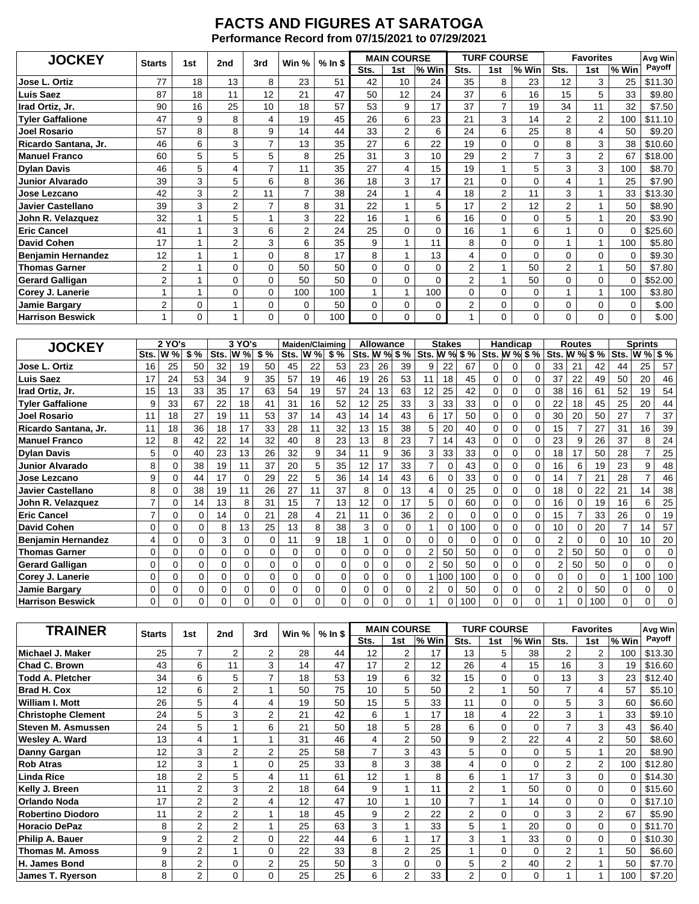## **FACTS AND FIGURES AT SARATOGA Performance Record from 07/15/2021 to 07/29/2021**

| <b>JOCKEY</b>             |    | <b>Starts</b>  | 1st            | 2nd            | 3rd          | Win % | $%$ In \$    |                | <b>MAIN COURSE</b> |                |                | <b>TURF COURSE</b> |                | <b>Favorites</b> | Avg Win  |         |
|---------------------------|----|----------------|----------------|----------------|--------------|-------|--------------|----------------|--------------------|----------------|----------------|--------------------|----------------|------------------|----------|---------|
|                           |    |                |                |                |              |       | Sts.         | 1st            | % Win              | Sts.           | 1st            | % Win              | Sts.           | 1st              | % Win    | Payoff  |
| Jose L. Ortiz             | 77 | 18             | 13             | 8              | 23           | 51    | 42           | 10             | 24                 | 35             | 8              | 23                 | 12             | 3                | 25       | \$11.30 |
| Luis Saez                 | 87 | 18             | 11             | 12             | 21           | 47    | 50           | 12             | 24                 | 37             | 6              | 16                 | 15             | 5                | 33       | \$9.80  |
| Irad Ortiz, Jr.           | 90 | 16             | 25             | 10             | 18           | 57    | 53           | 9              | 17                 | 37             | 7              | 19                 | 34             | 11               | 32       | \$7.50  |
| <b>Tyler Gaffalione</b>   | 47 | 9              | 8              | 4              | 19           | 45    | 26           | 6              | 23                 | 21             | 3              | 14                 | 2              | 2                | 100      | \$11.10 |
| <b>Joel Rosario</b>       | 57 | 8              | 8              | 9              | 14           | 44    | 33           | $\overline{2}$ | 6                  | 24             | 6              | 25                 | 8              | 4                | 50       | \$9.20  |
| Ricardo Santana, Jr.      | 46 | 6              | 3              | 7              | 13           | 35    | 27           | 6              | 22                 | 19             | 0              | $\Omega$           | 8              | 3                | 38       | \$10.60 |
| <b>Manuel Franco</b>      | 60 | 5              | 5              | 5              | 8            | 25    | 31           | 3              | 10                 | 29             | $\overline{2}$ |                    | 3              | $\overline{2}$   | 67       | \$18.00 |
| <b>Dylan Davis</b>        | 46 | 5              | 4              | $\overline{7}$ | 11           | 35    | 27           | 4              | 15                 | 19             |                | 5                  | 3              | 3                | 100      | \$8.70  |
| <b>Junior Alvarado</b>    | 39 | 3              | 5              | 6              | 8            | 36    | 18           | 3              | 17                 | 21             | 0              | $\Omega$           | 4              | 1                | 25       | \$7.90  |
| Jose Lezcano              | 42 | 3              | $\overline{2}$ | 11             | 7            | 38    | 24           |                | 4                  | 18             | 2              | 11                 | 3              | 1                | 33       | \$13.30 |
| <b>Javier Castellano</b>  | 39 | 3              | 2              | $\overline{7}$ | 8            | 31    | 22           |                | 5                  | 17             | 2              | 12                 | $\overline{2}$ | 1                | 50       | \$8.90  |
| John R. Velazquez         | 32 | 1              | 5              |                | 3            | 22    | 16           |                | 6                  | 16             | 0              | $\Omega$           | 5              |                  | 20       | \$3.90  |
| <b>Eric Cancel</b>        | 41 | 1              | 3              | 6              | $\mathbf{2}$ | 24    | 25           | 0              | $\Omega$           | 16             |                | 6                  |                | 0                | $\Omega$ | \$25.60 |
| <b>David Cohen</b>        | 17 | 1              | $\overline{2}$ | 3              | 6            | 35    | 9            | 1              | 11                 | 8              | 0              | $\Omega$           |                | 1                | 100      | \$5.80  |
| <b>Benjamin Hernandez</b> | 12 | 1              | 1              | $\Omega$       | 8            | 17    | 8            |                | 13                 | 4              | 0              | $\Omega$           | $\Omega$       | 0                | $\Omega$ | \$9.30  |
| <b>Thomas Garner</b>      | 2  | $\overline{ }$ | $\mathbf 0$    | $\Omega$       | 50           | 50    | $\mathbf 0$  | 0              | 0                  | $\overline{2}$ |                | 50                 | $\overline{2}$ | $\mathbf{1}$     | 50       | \$7.80  |
| <b>Gerard Galligan</b>    | 2  |                | $\Omega$       | $\Omega$       | 50           | 50    | 0            | 0              | $\Omega$           | $\overline{2}$ |                | 50                 | $\Omega$       | 0                |          | \$52.00 |
| Corey J. Lanerie          | 1  | $\mathbf{1}$   | $\mathbf 0$    | $\mathbf 0$    | 100          | 100   | $\mathbf{1}$ | 1              | 100                | $\Omega$       | 0              | $\Omega$           | 1              | $\mathbf{1}$     | 100      | \$3.80  |
| Jamie Bargary             | 2  | 0              |                | $\mathbf 0$    | $\mathbf 0$  | 50    | $\mathbf 0$  | 0              | 0                  | $\overline{2}$ | 0              | $\Omega$           | 0              | 0                | 0        | \$.00   |
| <b>Harrison Beswick</b>   |    | 0              |                | 0              | $\mathbf 0$  | 100   | 0            | 0              | 0                  |                | 0              | $\Omega$           | 0              | 0                | 0        | \$.00   |

| <b>JOCKEY</b>             | 2 YO's<br>3 YO's |            |     |          |            |              | Maiden/Claiming<br><b>Allowance</b> |                |     |                 |    |          | <b>Stakes</b>   |          |     | Handicap      |          | <b>Routes</b> |                |    | <b>Sprints</b> |    |                |     |
|---------------------------|------------------|------------|-----|----------|------------|--------------|-------------------------------------|----------------|-----|-----------------|----|----------|-----------------|----------|-----|---------------|----------|---------------|----------------|----|----------------|----|----------------|-----|
|                           | Sts.             | <b>W</b> % | \$% | Sts.     | <b>W</b> % | \$%          | Sts.                                | W%             | \$% | <b>Sts. W %</b> |    | \$%      | <b>Sts. W %</b> |          | \$% | Sts. W % \$ % |          |               | Sts. W % \$ %  |    |                |    | Sts. W % \$ %  |     |
| Jose L. Ortiz             | 16               | 25         | 50  | 32       | 19         | 50           | 45                                  | 22             | 53  | 23              | 26 | 39       | 9               | 22       | 67  | 0             | 0        | 0             | 33             | 21 | 42             | 44 | 25             | 57  |
| <b>Luis Saez</b>          | 17               | 24         | 53  | 34       | 9          | 35           | 57                                  | 19             | 46  | 19              | 26 | 53       | 11              | 18       | 45  | $\Omega$      | 0        | 0             | 37             | 22 | 49             | 50 | 20             | 46  |
| Irad Ortiz. Jr.           | 15               | 13         | 33  | 35       | 17         | 63           | 54                                  | 19             | 57  | 24              | 13 | 63       | 12              | 25       | 42  | 0             | 0        | 0             | 38             | 16 | 61             | 52 | 19             | 54  |
| <b>Tyler Gaffalione</b>   | 9                | 33         | 67  | 22       | 18         | 41           | 31                                  | 16             | 52  | 12              | 25 | 33       | 3               | 33       | 33  | $\Omega$      | 0        | 0             | 22             | 18 | 45             | 25 | 20             | 44  |
| <b>Joel Rosario</b>       | 11               | 18         | 27  | 19       |            | 53           | 37                                  | 14             | 43  | 14              | 14 | 43       | 6               | 17       | 50  | 0             | 0        | $\Omega$      | 30             | 20 | 50             | 27 | $\overline{7}$ | 37  |
| Ricardo Santana, Jr.      | 11               | 18         | 36  | 18       | 17         | 33           | 28                                  | 11             | 32  | 13              | 15 | 38       | 5               | 20       | 40  | $\Omega$      | 0        | 0             | 15             |    | 27             | 31 | 16             | 39  |
| <b>Manuel Franco</b>      | 12               | 8          | 42  | 22       | 14         | 32           | 40                                  | 8              | 23  | 13              | 8  | 23       |                 | 14       | 43  | 0             | 0        | 0             | 23             | 9  | 26             | 37 | 8              | 24  |
| <b>Dylan Davis</b>        | 5                | ი          | 40  | 23       | 13         | 26           | 32                                  | 9              | 34  | 11              | 9  | 36       | 3               | 33       | 33  | 0             | 0        | 0             | 18             | 17 | 50             | 28 |                | 25  |
| <b>Junior Alvarado</b>    | 8                | 0          | 38  | 19       | 11         | 37           | 20                                  | 5              | 35  | 12              | 17 | 33       |                 | $\Omega$ | 43  | $\Omega$      | 0        | 0             | 16             | 6  | 19             | 23 | 9              | 48  |
| Jose Lezcano              | 9                | 0          | 44  | 17       | 0          | 29           | 22                                  | 5              | 36  | 14              | 14 | 43       | 6               | 0        | 33  | 0             | 0        | 0             | 14             |    | 21             | 28 | 7              | 46  |
| <b>Javier Castellano</b>  | 8                | 0          | 38  | 19       | 11         | 26           | 27                                  | 11             | 37  | 8               | 0  | 13       | 4               | 0        | 25  | 0             | 0        | 0             | 18             |    | 22             | 21 | 14             | 38  |
| John R. Velazquez         | 7                | 0          | 14  | 13       | 8          | 31           | 15                                  | $\overline{7}$ | 13  | 12              |    | 17       | 5               | 0        | 60  | $\Omega$      | $\Omega$ | $\Omega$      | 16             |    | 19             | 16 | 6              | 25  |
| <b>Eric Cancel</b>        | $\overline{7}$   | 0          | 0   | 14       | 0          | 21           | 28                                  | 4              | 21  | 11              | 0  | 36       | 2               | 0        | 0   | $\Omega$      | 0        | 0             | 15             |    | 33             | 26 | $\Omega$       | 19  |
| <b>David Cohen</b>        | 0                | 0          | 0   | 8        | 13         | 25           | 13                                  | 8              | 38  | 3               | 0  | $\Omega$ |                 | 0        | 100 | $\Omega$      | 0        | 0             | 10             |    | 20             |    | 14             | 57  |
| <b>Benjamin Hernandez</b> | 4                | 0          |     | 3        | 0          | 0            | 11                                  | 9              | 18  |                 |    | 0        | 0               | 0        | 0   | 0             | 0        | 0             | 2              |    | 0              | 10 | 10             | 20  |
| <b>Thomas Garner</b>      | 0                | 0          | 0   | 0        | 0          | <sup>0</sup> | 0                                   | 0              | 0   | $\Omega$        | 0  | $\Omega$ | 2               | 50       | 50  | $\Omega$      | 0        | 0             | 2              | 50 | 50             | U  | 0              | 0   |
| <b>Gerard Galligan</b>    | 0                | 0          | 0   | $\Omega$ | 0          | 0            | 0                                   | 0              | 0   | $\Omega$        | 0  | 0        | 2               | 50       | 50  | 0             | 0        | $\Omega$      | $\overline{2}$ | 50 | 50             | 0  | 0              | 0   |
| Corey J. Lanerie          | 0                | 0          | 0   | 0        | 0          | 0            | 0                                   | 0              | 0   | 0               | 0  | 0        |                 | 100      | 100 | 0             | 0        | 0             | 0              |    | $\mathbf 0$    |    | 100            | 100 |
| <b>Jamie Bargary</b>      | 0                | 0          |     | 0        | 0          | 0            | 0                                   | 0              | 0   | 0               |    | $\Omega$ | 2               | 0        | 50  | 0             | 0        | 0             | $\overline{2}$ |    | 50             |    | 0              | 0   |
| <b>Harrison Beswick</b>   | 0                | 0          | 0   | 0        | 0          | <sup>0</sup> | $\Omega$                            | 0              | 0   | 0               | 0  | 0        |                 |          | 100 | 0             | 0        | 0             |                |    | 100            | 0  | 0              | 0   |

| <b>TRAINER</b>            | <b>Starts</b> | 1st            | 2nd            | 3rd            | Win % | $%$ In \$ |                | <b>MAIN COURSE</b> |          |                | <b>TURF COURSE</b> |          | <b>Favorites</b> | Avg Win        |          |         |
|---------------------------|---------------|----------------|----------------|----------------|-------|-----------|----------------|--------------------|----------|----------------|--------------------|----------|------------------|----------------|----------|---------|
|                           |               |                |                |                |       |           | Sts.           | 1st                | % Win    | Sts.           | 1st                | % Win    | Sts.             | 1st            | % Win    | Payoff  |
| Michael J. Maker          | 25            | 7              | $\overline{2}$ | $\overline{2}$ | 28    | 44        | 12             | 2                  | 17       | 13             | 5                  | 38       | $\overline{2}$   | 2              | 100      | \$13.30 |
| Chad C. Brown             | 43            | 6              | 11             | 3              | 14    | 47        | 17             | $\overline{2}$     | 12       | 26             | 4                  | 15       | 16               | 3              | 19       | \$16.60 |
| <b>Todd A. Pletcher</b>   | 34            | 6              | 5              | $\overline{7}$ | 18    | 53        | 19             | 6                  | 32       | 15             | 0                  | $\Omega$ | 13               | 3              | 23       | \$12.40 |
| <b>Brad H. Cox</b>        | 12            | 6              | $\overline{2}$ |                | 50    | 75        | 10             | 5                  | 50       | $\overline{2}$ |                    | 50       | $\overline{7}$   | 4              | 57       | \$5.10  |
| William I. Mott           | 26            | 5              | 4              | 4              | 19    | 50        | 15             | 5                  | 33       | 11             | 0                  | $\Omega$ | 5                | 3              | 60       | \$6.60  |
| <b>Christophe Clement</b> | 24            | 5              | 3              | $\overline{2}$ | 21    | 42        | 6              | $\mathbf{1}$       | 17       | 18             | 4                  | 22       | 3                | $\mathbf{1}$   | 33       | \$9.10  |
| Steven M. Asmussen        | 24            | 5              |                | 6              | 21    | 50        | 18             | 5                  | 28       | 6              | $\Omega$           | $\Omega$ | $\overline{7}$   | 3              | 43       | \$6.40  |
| Wesley A. Ward            | 13            | 4              |                |                | 31    | 46        | $\overline{4}$ | $\overline{2}$     | 50       | 9              | 2                  | 22       | 4                | $\overline{2}$ | 50       | \$8.60  |
| Danny Gargan              | 12            | 3              | $\overline{2}$ | 2              | 25    | 58        | $\overline{7}$ | 3                  | 43       | 5              | $\Omega$           | $\Omega$ | 5                | 1              | 20       | \$8.90  |
| <b>Rob Atras</b>          | 12            | 3              |                | $\Omega$       | 25    | 33        | 8              | 3                  | 38       | 4              | 0                  | $\Omega$ | $\overline{2}$   | $\overline{2}$ | 100      | \$12.80 |
| <b>Linda Rice</b>         | 18            | $\overline{2}$ | 5              | 4              | 11    | 61        | 12             | $\mathbf{1}$       | 8        | 6              |                    | 17       | 3                | 0              | $\Omega$ | \$14.30 |
| Kelly J. Breen            | 11            | $\overline{2}$ | 3              | $\overline{2}$ | 18    | 64        | 9              | 4                  | 11       | $\overline{2}$ |                    | 50       | $\mathbf 0$      | 0              | 0        | \$15.60 |
| <b>Orlando Noda</b>       | 17            | $\overline{2}$ | $\overline{2}$ | 4              | 12    | 47        | 10             |                    | 10       | $\overline{7}$ |                    | 14       | $\mathbf 0$      | 0              | 0        | \$17.10 |
| <b>Robertino Diodoro</b>  | 11            | $\overline{2}$ | $\overline{2}$ |                | 18    | 45        | 9              | 2                  | 22       | $\overline{2}$ | U                  | $\Omega$ | 3                | 2              | 67       | \$5.90  |
| <b>Horacio DePaz</b>      | 8             | $\overline{2}$ | $\overline{2}$ |                | 25    | 63        | 3              | $\mathbf{1}$       | 33       | 5              |                    | 20       | $\mathbf 0$      | 0              | $\Omega$ | \$11.70 |
| Philip A. Bauer           | 9             | $\overline{2}$ | $\overline{2}$ | $\Omega$       | 22    | 44        | 6              | 1                  | 17       | 3              |                    | 33       | $\mathbf 0$      | 0              | $\Omega$ | \$10.30 |
| <b>Thomas M. Amoss</b>    | 9             | $\overline{2}$ |                | $\Omega$       | 22    | 33        | 8              | $\overline{2}$     | 25       |                | $\Omega$           | $\Omega$ | 2                | 1              | 50       | \$6.60  |
| H. James Bond             | 8             | 2              | $\mathbf 0$    | $\overline{2}$ | 25    | 50        | 3              | 0                  | $\Omega$ | 5              | 2                  | 40       | $\overline{2}$   |                | 50       | \$7.70  |
| James T. Ryerson          | 8             | 2              | $\Omega$       | $\Omega$       | 25    | 25        | 6              | $\overline{2}$     | 33       | $\overline{2}$ | 0                  | $\Omega$ |                  |                | 100      | \$7.20  |